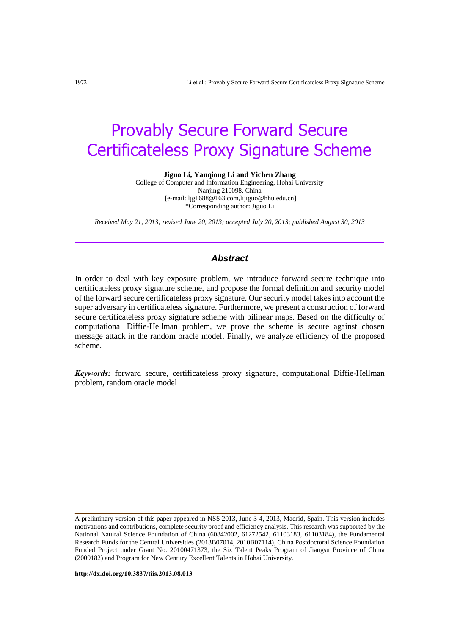# Provably Secure Forward Secure Certificateless Proxy Signature Scheme

**Jiguo Li, Yanqiong Li and Yichen Zhang**

College of Computer and Information Engineering, Hohai University Nanjing 210098, China [e-mail[: ljg1688@163.com,lijiguo@hhu.edu.cn\]](mailto:t.m.chen@swansea.ac.uk) \*Corresponding author: Jiguo Li

*Received May 21, 2013; revised June 20, 2013; accepted July 20, 2013; published August 30, 2013*

## *Abstract*

In order to deal with key exposure problem, we introduce forward secure technique into certificateless proxy signature scheme, and propose the formal definition and security model of the forward secure certificateless proxy signature. Our security model takes into account the super adversary in certificateless signature. Furthermore, we present a construction of forward secure certificateless proxy signature scheme with bilinear maps. Based on the difficulty of computational Diffie-Hellman problem, we prove the scheme is secure against chosen message attack in the random oracle model. Finally, we analyze efficiency of the proposed scheme.

*Keywords:* forward secure, certificateless proxy signature, computational Diffie-Hellman problem, random oracle model

**http://dx.doi.org/10.3837/tiis.2013.08.013**

A preliminary version of this paper appeared in NSS 2013, June 3-4, 2013, Madrid, Spain. This version includes motivations and contributions, complete security proof and efficiency analysis. This research was supported by the National Natural Science Foundation of China (60842002, 61272542, 61103183, 61103184), the Fundamental Research Funds for the Central Universities (2013B07014, 2010B07114), China Postdoctoral Science Foundation Funded Project under Grant No. 20100471373, the Six Talent Peaks Program of Jiangsu Province of China (2009182) and Program for New Century Excellent Talents in Hohai University.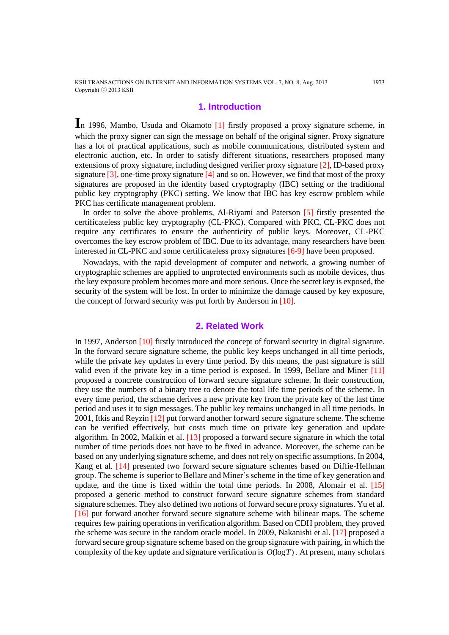KSII TRANSACTIONS ON INTERNET AND INFORMATION SYSTEMS VOL. 7, NO. 8, Aug. 2013 1973 Copyright ⓒ 2013 KSII

# **1. Introduction**

**I**n 1996, Mambo, Usuda and Okamoto [1] firstly proposed a proxy signature scheme, in which the proxy signer can sign the message on behalf of the original signer. Proxy signature has a lot of practical applications, such as mobile communications, distributed system and electronic auction, etc. In order to satisfy different situations, researchers proposed many extensions of proxy signature, including designed verifier proxy signature [2], ID-based proxy signature  $[3]$ , one-time proxy signature  $[4]$  and so on. However, we find that most of the proxy signatures are proposed in the identity based cryptography (IBC) setting or the traditional public key cryptography (PKC) setting. We know that IBC has key escrow problem while PKC has certificate management problem.

In order to solve the above problems, Al-Riyami and Paterson [5] firstly presented the certificateless public key cryptography (CL-PKC). Compared with PKC, CL-PKC does not require any certificates to ensure the authenticity of public keys. Moreover, CL-PKC overcomes the key escrow problem of IBC. Due to its advantage, many researchers have been interested in CL-PKC and some certificateless proxy signatures [6-9] have been proposed.

Nowadays, with the rapid development of computer and network, a growing number of cryptographic schemes are applied to unprotected environments such as mobile devices, thus the key exposure problem becomes more and more serious. Once the secret key is exposed, the security of the system will be lost. In order to minimize the damage caused by key exposure, the concept of forward security was put forth by Anderson in [10].

# **2. Related Work**

In 1997, Anderson [10] firstly introduced the concept of forward security in digital signature. In the forward secure signature scheme, the public key keeps unchanged in all time periods, while the private key updates in every time period. By this means, the past signature is still valid even if the private key in a time period is exposed. In 1999, Bellare and Miner [11] proposed a concrete construction of forward secure signature scheme. In their construction, they use the numbers of a binary tree to denote the total life time periods of the scheme. In every time period, the scheme derives a new private key from the private key of the last time period and uses it to sign messages. The public key remains unchanged in all time periods. In 2001, Itkis and Reyzin [12] put forward another forward secure signature scheme. The scheme can be verified effectively, but costs much time on private key generation and update algorithm. In 2002, Malkin et al. [13] proposed a forward secure signature in which the total number of time periods does not have to be fixed in advance. Moreover, the scheme can be based on any underlying signature scheme, and does not rely on specific assumptions. In 2004, Kang et al. [14] presented two forward secure signature schemes based on Diffie-Hellman group. The scheme is superior to Bellare and Miner's scheme in the time of key generation and update, and the time is fixed within the total time periods. In 2008, Alomair et al. [15] proposed a generic method to construct forward secure signature schemes from standard signature schemes. They also defined two notions of forward secure proxy signatures. Yu et al. [16] put forward another forward secure signature scheme with bilinear maps. The scheme requires few pairing operations in verification algorithm. Based on CDH problem, they proved the scheme was secure in the random oracle model. In 2009, Nakanishi et al. [17] proposed a forward secure group signature scheme based on the group signature with pairing, in which the complexity of the key update and signature verification is  $O(\log T)$ . At present, many scholars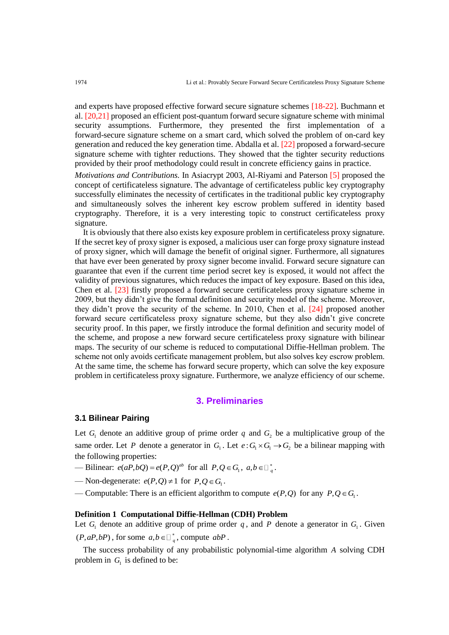and experts have proposed effective forward secure signature schemes [18-22]. Buchmann et al. [20,21] proposed an efficient post-quantum forward secure signature scheme with minimal security assumptions. Furthermore, they presented the first implementation of a forward-secure signature scheme on a smart card, which solved the problem of on-card key generation and reduced the key generation time. Abdalla et al. [22] proposed a forward-secure signature scheme with tighter reductions. They showed that the tighter security reductions provided by their proof methodology could result in concrete efficiency gains in practice.

*Motivations and Contributions.* In Asiacrypt 2003, Al-Riyami and Paterson [5] proposed the concept of certificateless signature. The advantage of certificateless public key cryptography successfully eliminates the necessity of certificates in the traditional public key cryptography and simultaneously solves the inherent key escrow problem suffered in identity based cryptography. Therefore, it is a very interesting topic to construct certificateless proxy signature.

It is obviously that there also exists key exposure problem in certificateless proxy signature. If the secret key of proxy signer is exposed, a malicious user can forge proxy signature instead of proxy signer, which will damage the benefit of original signer. Furthermore, all signatures that have ever been generated by proxy signer become invalid. Forward secure signature can guarantee that even if the current time period secret key is exposed, it would not affect the validity of previous signatures, which reduces the impact of key exposure. Based on this idea, Chen et al. [23] firstly proposed a forward secure certificateless proxy signature scheme in 2009, but they didn't give the formal definition and security model of the scheme. Moreover, they didn't prove the security of the scheme. In 2010, Chen et al. [24] proposed another forward secure certificateless proxy signature scheme, but they also didn't give concrete security proof. In this paper, we firstly introduce the formal definition and security model of the scheme, and propose a new forward secure certificateless proxy signature with bilinear maps. The security of our scheme is reduced to computational Diffie-Hellman problem. The scheme not only avoids certificate management problem, but also solves key escrow problem. At the same time, the scheme has forward secure property, which can solve the key exposure problem in certificateless proxy signature. Furthermore, we analyze efficiency of our scheme.

# **3. Preliminaries**

## **3.1 Bilinear Pairing**

Let  $G_1$  denote an additive group of prime order q and  $G_2$  be a multiplicative group of the same order. Let P denote a generator in  $G_1$ . Let  $e: G_1 \times G_1 \to G_2$  be a bilinear mapping with the following properties:

- Bilinear:  $e(aP, bQ) = e(P, Q)^{ab}$  for all  $P, Q \in G_1$ ,  $a, b \in \mathbb{F}_q^*$ .
- Non-degenerate:  $e(P,Q) \neq 1$  for  $P,Q \in G_1$ .
- Computable: There is an efficient algorithm to compute  $e(P,Q)$  for any  $P,Q \in G_1$ .

#### **Definition 1 Computational Diffie-Hellman (CDH) Problem**

Let  $G_1$  denote an additive group of prime order q, and P denote a generator in  $G_1$ . Given  $(P, aP, bP)$ , for some  $a, b \in \Box_q^*$ , compute  $abP$ .

The success probability of any probabilistic polynomial-time algorithm *A* solving CDH problem in  $G<sub>1</sub>$  is defined to be: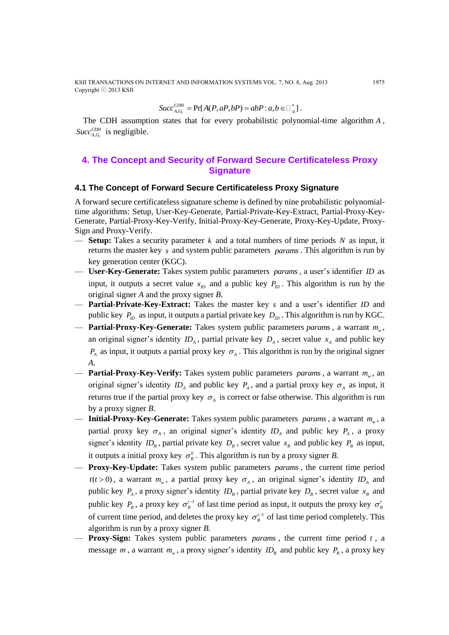KSII TRANSACTIONS ON INTERNET AND INFORMATION SYSTEMS VOL. 7, NO. 8, Aug. 2013 1975 Copyright ⓒ 2013 KSII

 $,$  $\mathord{\sim}_1$ 

$$
Succ_{A,G_1}^{CDH} = \Pr[A(P, aP, bP) = abP : a, b \in \square_{q}^{*}].
$$

The CDH assumption states that for every probabilistic polynomial-time algorithm *<sup>A</sup>* ,  $Succ_{A,G_1}^{CDH}$  is negligible.

# **4. The Concept and Security of Forward Secure Certificateless Proxy Signature**

## **4.1 The Concept of Forward Secure Certificateless Proxy Signature**

A forward secure certificateless signature scheme is defined by nine probabilistic polynomialtime algorithms: Setup, User-Key-Generate, Partial-Private-Key-Extract, Partial-Proxy-Key-Generate, Partial-Proxy-Key-Verify, Initial-Proxy-Key-Generate, Proxy-Key-Update, Proxy-Sign and Proxy-Verify.

- **Setup:** Takes a security parameter *k* and a total numbers of time periods *N* as input, it returns the master key s and system public parameters params. This algorithm is run by key generation center (KGC).
- **User-Key-Generate:** Takes system public parameters *params* , a user's identifier *ID* as input, it outputs a secret value  $x_{ID}$  and a public key  $P_{ID}$ . This algorithm is run by the original signer *A* and the proxy signer *B*.
- **Partial-Private-Key-Extract:** Takes the master key *s* and a user's identifier *ID* and public key  $P_{ID}$  as input, it outputs a partial private key  $D_{ID}$ . This algorithm is run by KGC.
- **Partial-Proxy-Key-Generate:** Takes system public parameters *params* , a warrant *<sup>m</sup><sup>w</sup>* , an original signer's identity  $ID_A$ , partial private key  $D_A$ , secret value  $x_A$  and public key  $P_{A}$  as input, it outputs a partial proxy key  $\sigma_{A}$ . This algorithm is run by the original signer *A*.
- **Partial-Proxy-Key-Verify:** Takes system public parameters *params*, a warrant  $m_w$ , an original signer's identity  $ID_A$  and public key  $P_A$ , and a partial proxy key  $\sigma_A$  as input, it returns true if the partial proxy key  $\sigma_A$  is correct or false otherwise. This algorithm is run by a proxy signer *B*.
- **Initial-Proxy-Key-Generate:** Takes system public parameters *params* , a warrant *<sup>m</sup><sup>w</sup>* , a partial proxy key  $\sigma_A$ , an original signer's identity  $ID_A$  and public key  $P_A$ , a proxy signer's identity  $ID_B$ , partial private key  $D_B$ , secret value  $x_B$  and public key  $P_B$  as input, it outputs a initial proxy key  $\sigma_{B}^{0}$ . This algorithm is run by a proxy signer *B*.
- **Proxy-Key-Update:** Takes system public parameters *params* , the current time period  $t(t>0)$ , a warrant  $m_w$ , a partial proxy key  $\sigma_A$ , an original signer's identity ID<sub>A</sub> and public key  $P_A$ , a proxy signer's identity  $ID_B$ , partial private key  $D_B$ , secret value  $x_B$  and public key  $P_B$ , a proxy key  $\sigma_B^{t-1}$  of last time period as input, it outputs the proxy key  $\sigma_B^t$ of current time period, and deletes the proxy key  $\sigma_b^{t-1}$  of last time period completely. This algorithm is run by a proxy signer *B*.
- **Proxy-Sign:** Takes system public parameters *params* , the current time period *<sup>t</sup>* , a message *m*, a warrant  $m_w$ , a proxy signer's identity  $ID_B$  and public key  $P_B$ , a proxy key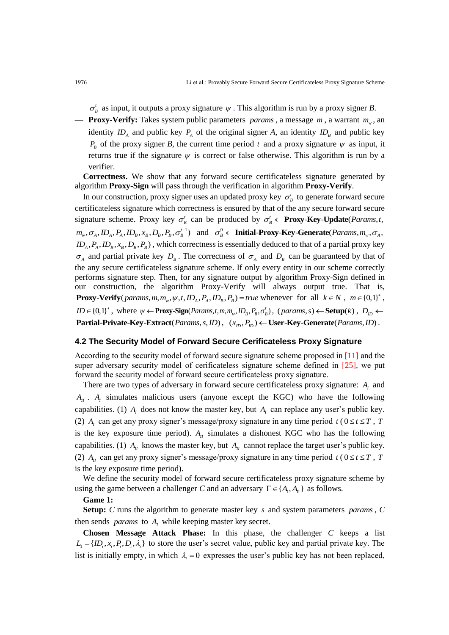$\sigma'_{B}$  as input, it outputs a proxy signature  $\psi$ . This algorithm is run by a proxy signer *B*.

— **Proxy-Verify:** Takes system public parameters *params* , a message *m* , a warrant *<sup>m</sup><sup>w</sup>* , an identity  $ID_A$  and public key  $P_A$  of the original signer *A*, an identity  $ID_B$  and public key  $P_B$  of the proxy signer *B*, the current time period *t* and a proxy signature  $\psi$  as input, it returns true if the signature  $\psi$  is correct or false otherwise. This algorithm is run by a verifier.

**Correctness.** We show that any forward secure certificateless signature generated by algorithm **Proxy-Sign** will pass through the verification in algorithm **Proxy-Verify**.

In our construction, proxy signer uses an updated proxy key  $\sigma_{B}^{t}$  to generate forward secure certificateless signature which correctness is ensured by that of the any secure forward secure signature scheme. Proxy key  $\sigma_B^t$  can be produced by  $\sigma_B^t \leftarrow$  **Proxy-Key-Update** *(Params,t,*  $m_{w}$ ,  $\sigma_{A}$ ,  $ID_{A}$ ,  $P_{A}$ ,  $ID_{B}$ ,  $x_{B}$ ,  $D_{B}$ ,  $P_{B}$ ,  $\sigma_{B}^{t-1}$ ) and  $\sigma_{B}^{0}$   $\leftarrow$  **Initial-Proxy-Key-Generate**(*Params*,  $m_{w}$ ,  $\sigma_{A}$ ,  $ID_A$ ,  $P_A$ ,  $ID_B$ ,  $x_B$ ,  $D_B$ ,  $P_B$ ), which correctness is essentially deduced to that of a partial proxy key  $\sigma_A$  and partial private key  $D_B$ . The correctness of  $\sigma_A$  and  $D_B$  can be guaranteed by that of the any secure certificateless signature scheme. If only every entity in our scheme correctly performs signature step. Then, for any signature output by algorithm Proxy-Sign defined in our construction, the algorithm Proxy-Verify will always output true. That is, **Proxy-Verify** (*params, m, m<sub>w</sub>,*  $\psi$ *, t, ID<sub>A</sub>, P<sub>A</sub>, ID<sub>B</sub>, P<sub>B</sub>) = true whenever for all*  $k \in N$ *,*  $m \in \{0,1\}^*$ *,*  $ID \in \{0,1\}^*$ , where  $\psi \leftarrow \text{Proxy-Sign}(Parameters, t, m, m_w, ID_B, P_B, \sigma_B^t)$ ,  $(parent, x, s) \leftarrow \text{Setup}(k)$ ,  $D_{ID} \leftarrow \text{Exp}(k)$  $\textbf{Partial-Private-Key-Extract}(Parameters, s, ID), \quad (x_{m}, P_{m}) \leftarrow \textbf{User-Key-Generator}(Parameters, ID).$ 

## **4.2 The Security Model of Forward Secure Cerificateless Proxy Signature**

According to the security model of forward secure signature scheme proposed in [11] and the super adversary security model of cerificateless signature scheme defined in [25], we put forward the security model of forward secure certificateless proxy signature.

There are two types of adversary in forward secure certificateless proxy signature:  $A<sub>I</sub>$  and  $A_{II}$ .  $A_{I}$  simulates malicious users (anyone except the KGC) who have the following capabilities. (1)  $A_I$  does not know the master key, but  $A_I$  can replace any user's public key. (2)  $A_t$  can get any proxy signer's message/proxy signature in any time period  $t$  ( $0 \le t \le T$ , T is the key exposure time period).  $A<sub>II</sub>$  simulates a dishonest KGC who has the following capabilities. (1)  $A_{II}$  knows the master key, but  $A_{II}$  cannot replace the target user's public key. (2)  $A_{II}$  can get any proxy signer's message/proxy signature in any time period  $t$  ( $0 \le t \le T$ , T is the key exposure time period).

We define the security model of forward secure certificateless proxy signature scheme by using the game between a challenger C and an adversary  $\Gamma \in \{A_I, A_{II}\}\$ as follows.

#### **Game 1:**

**Setup:** *C* runs the algorithm to generate master key *s* and system parameters *params* , *C* then sends *params* to  $A<sub>I</sub>$  while keeping master key secret.

**Chosen Message Attack Phase:** In this phase, the challenger *C* keeps a list  $L_1 = \{ID_i, x_i, P_i, D_i, \lambda_i\}$  to store the user's secret value, public key and partial private key. The list is initially empty, in which  $\lambda_i = 0$  expresses the user's public key has not been replaced,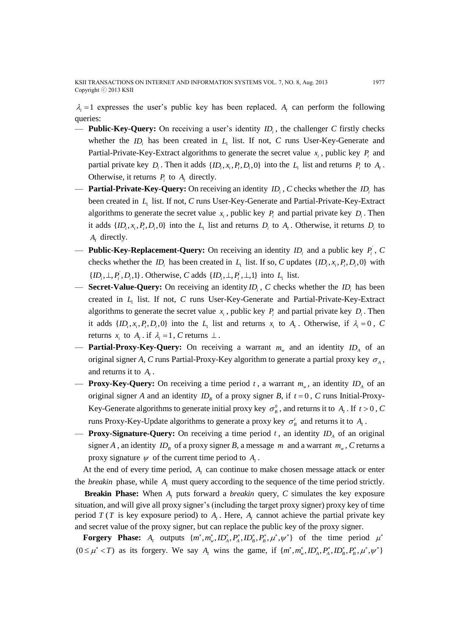$\lambda_i = 1$  expresses the user's public key has been replaced.  $A_i$  can perform the following queries:

- **Public-Key-Query:** On receiving a user's identity *i ID* , the challenger *C* firstly checks whether the  $ID_i$  has been created in  $L_1$  list. If not, C runs User-Key-Generate and Partial-Private-Key-Extract algorithms to generate the secret value  $x_i$ , public key  $P_i$  and partial private key  $D_i$ . Then it adds  $\{ID_i, x_i, P_i, D_i, 0\}$  into the  $L_i$  list and returns  $P_i$  to  $A_i$ . Otherwise, it returns  $P_i$  to  $A_i$  directly.
- **Partial-Private-Key-Query:** On receiving an identity  $ID_i$ , C checks whether the  $ID_i$  has been created in *L*1 list. If not, *C* runs User-Key-Generate and Partial-Private-Key-Extract algorithms to generate the secret value  $x_i$ , public key  $P_i$  and partial private key  $D_i$ . Then it adds  $\{ID_i, x_i, P_i, D_i, 0\}$  into the  $L_1$  list and returns  $D_i$  to  $A_i$ . Otherwise, it returns  $D_i$  to  $A<sub>I</sub>$  directly.
- **Public-Key-Replacement-Query:** On receiving an identity  $ID_i$  and a public key  $P_i$ , C checks whether the  $ID_i$  has been created in  $L_i$  list. If so, C updates  $\{ID_i, x_i, P_i, D_i, 0\}$  with  $\{ID_i, \perp, P_i, D_i, 1\}$ . Otherwise, *C* adds  $\{ID_i, \perp, P_i, \perp, 1\}$  into  $L_1$  list.
- **Secret-Value-Query:** On receiving an identity  $ID_i$ , C checks whether the  $ID_i$  has been created in  $L_1$  list. If not, *C* runs User-Key-Generate and Partial-Private-Key-Extract algorithms to generate the secret value  $x_i$ , public key  $P_i$  and partial private key  $D_i$ . Then it adds  $\{ID_i, x_i, P_i, D_i, 0\}$  into the  $L_1$  list and returns  $x_i$  to  $A_1$ . Otherwise, if  $\lambda_i = 0$ , C returns  $x_i$  to  $A_i$ . if  $\lambda_i = 1$ , C returns  $\perp$ .
- $-$  **Partial-Proxy-Key-Query:** On receiving a warrant  $m_w$  and an identity  $ID_A$  of an original signer A, C runs Partial-Proxy-Key algorithm to generate a partial proxy key  $\sigma_A$ , and returns it to  $A_I$ .
- **Proxy-Key-Query:** On receiving a time period t, a warrant  $m_{w}$ , an identity  $ID_{A}$  of an original signer *A* and an identity  $ID<sub>B</sub>$  of a proxy signer *B*, if  $t = 0$ , *C* runs Initial-Proxy-Key-Generate algorithms to generate initial proxy key  $\sigma_{B}^{0}$ , and returns it to  $A_{I}$ . If  $t > 0$ , C runs Proxy-Key-Update algorithms to generate a proxy key  $\sigma_B^t$  and returns it to  $A_I$ .
- **Proxy-Signature-Query:** On receiving a time period t, an identity  $ID_A$  of an original signer *A*, an identity  $ID<sub>B</sub>$  of a proxy signer *B*, a message *m* and a warrant  $m<sub>w</sub>$ , *C* returns a proxy signature  $\psi$  of the current time period to  $A<sub>l</sub>$ .

At the end of every time period,  $A<sub>I</sub>$  can continue to make chosen message attack or enter the *breakin* phase, while  $A<sub>I</sub>$  must query according to the sequence of the time period strictly.

**Breakin Phase:** When A<sub>*I*</sub> puts forward a *breakin* query, C simulates the key exposure situation, and will give all proxy signer's (including the target proxy signer) proxy key of time period  $T(T)$  is key exposure period) to  $A<sub>I</sub>$ . Here,  $A<sub>I</sub>$  cannot achieve the partial private key and secret value of the proxy signer, but can replace the public key of the proxy signer.

**Forgery Phase:**  $A_I$  outputs  $\{m^*, m_w^*, ID_A^*, P_A^*, ID_B^*, P_B^*, \mu^*, \psi^*\}$  of the time period  $\mu^*$  $(0 \leq \mu^* < T)$  as its forgery. We say  $A_I$  wins the game, if  $\{m^*, m_w^*, ID_A^*, P_A^*, ID_B^*, P_B^*, \mu^*, \psi^*\}$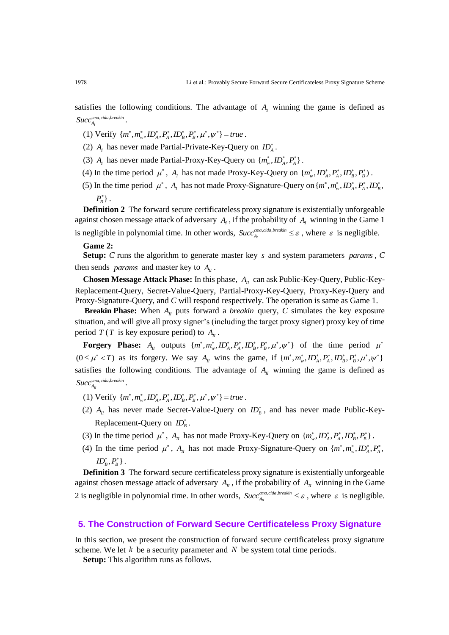satisfies the following conditions. The advantage of  $A<sub>I</sub>$  winning the game is defined as , , *I*  $Succ_{A_{I}}^{cma,cda,breakin}$  .

- (1) Verify  $\{m^*, m_w^*, ID_A^*, P_A^*, ID_B^*, P_B^*, \mu^*, \psi^*\} = true$ .
- (2)  $A_I$  has never made Partial-Private-Key-Query on  $ID_A^*$ .
- (3)  $A_I$  has never made Partial-Proxy-Key-Query on  $\{m_w^*, ID_A^*, P_A^*\}$ .
- (4) In the time period  $\mu^*$ ,  $A_I$  has not made Proxy-Key-Query on  $\{m_w^*, ID_A^*, P_A^*, ID_B^*, P_B^*\}$ .
- (5) In the time period  $\mu^*$ ,  $A_I$  has not made Proxy-Signature-Query on  $\{m^*, m_w^*, ID_A^*, P_A^*, ID_B^*,\}$  $P_{\scriptscriptstyle B}^*$  } .

**Definition 2** The forward secure certificateless proxy signature is existentially unforgeable against chosen message attack of adversary  $A<sub>I</sub>$ , if the probability of  $A<sub>I</sub>$  winning in the Game 1 is negligible in polynomial time. In other words,  $Succ_{A_l}^{c_{ma,cida}}$  $Succ_{A_t}^{c_{max, cida, breakin}} \leq \varepsilon$ , where  $\varepsilon$  is negligible.

#### **Game 2:**

**Setup:** *C* runs the algorithm to generate master key *s* and system parameters *params* , *C* then sends *params* and master key to  $A_{II}$ .

**Chosen Message Attack Phase:** In this phase,  $A_{II}$  can ask Public-Key-Query, Public-Key-Replacement-Query, Secret-Value-Query, Partial-Proxy-Key-Query, Proxy-Key-Query and Proxy-Signature-Query, and *C* will respond respectively. The operation is same as Game 1.

**Breakin Phase:** When  $A_{II}$  puts forward a *breakin* query, C simulates the key exposure situation, and will give all proxy signer's (including the target proxy signer) proxy key of time period  $T(T$  is key exposure period) to  $A_{II}$ .

**Forgery Phase:**  $A_{II}$  outputs  $\{m^*, m^*, ID_A^*, P_A^*, ID_B^*, P_B^*, \mu^*, \psi^*\}$  of the time period  $\mu^*$  $(0 \leq \mu^* < T)$  as its forgery. We say  $A_{\mu}$  wins the game, if  $\{m^*, m^*_{w}, ID^*_{A}, P^*_{A}, ID^*_{B}, P^*_{B}, \mu^*, \psi^*\}$ satisfies the following conditions. The advantage of  $A<sub>II</sub>$  winning the game is defined as , , *II*  $Succ_{A_n}^{cma, cida, breakin}$  .

- (1) Verify  $\{m^*, m^*_w, ID^*_A, P^*_A, ID^*_B, P^*_B, \mu^*, \psi^*\} = true$ .
- (2)  $A_{II}$  has never made Secret-Value-Query on  $ID_{B}^{*}$ , and has never made Public-Key-Replacement-Query on  $ID_B^*$ .
- (3) In the time period  $\mu^*$ ,  $A_{II}$  has not made Proxy-Key-Query on  $\{m_w^*, ID_A^*, P_A^*, ID_B^*, P_B^*\}$ .
- (4) In the time period  $\mu^*$ ,  $A_{II}$  has not made Proxy-Signature-Query on  $\{m^*, m_w^*, ID_A^*, P_A^*, P_B^*\}$  $\emph{ID}_\emph{B}^*, P_\emph{B}^* \}$  .

**Definition 3** The forward secure certificateless proxy signature is existentially unforgeable against chosen message attack of adversary  $A_{II}$ , if the probability of  $A_{II}$  winning in the Game 2 is negligible in polynomial time. In other words,  $Succ_{A_{II}}^{c_{ma,cida}}$  $Succ_{A_n}^{c_{ma}, cida, breakin} \leq \varepsilon$ , where  $\varepsilon$  is negligible.

# **5. The Construction of Forward Secure Certificateless Proxy Signature**

In this section, we present the construction of forward secure certificateless proxy signature scheme. We let  $k$  be a security parameter and  $N$  be system total time periods.

**Setup:** This algorithm runs as follows.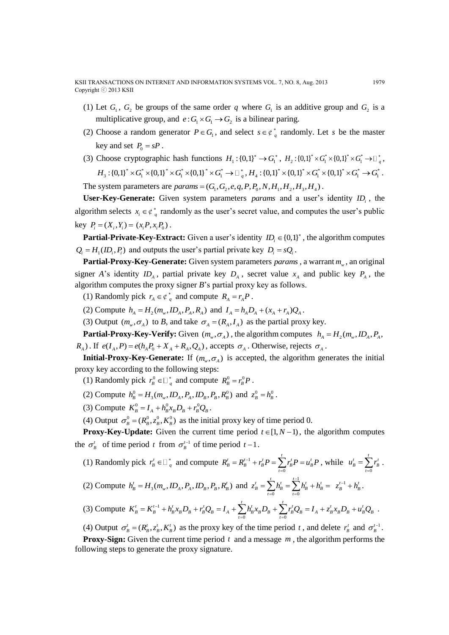- (1) Let  $G_1$ ,  $G_2$  be groups of the same order q where  $G_1$  is an additive group and  $G_2$  is a multiplicative group, and  $e: G_1 \times G_1 \rightarrow G_2$  is a bilinear paring.
- (2) Choose a random generator  $P \in G_1$ , and select  $s \in \varphi_q^*$  randomly. Let s be the master key and set  $P_0 = sP$ .
- (3) Choose cryptographic hash functions  $H_1: \{0,1\}^* \to G_1^*$ ,  $H_2: \{0,1\}^* \times G_1^* \times \{0,1\}^* \times G_1^* \to \Box_g^*$ ,  $H_3: {\{0,1\}}^* \times G_1^* \times {\{0,1\}}^* \times G_1^* \times {\{0,1\}}^* \times G_1^* \to \Box_{q}^*, H_4: {\{0,1\}}^* \times {\{0,1\}}^* \times G_1^* \to G_1^* \to G_1^* \; .$  $H_3: \{0,1\} \times G_1 \times \{0,1\} \times G_1 \times \{0,1\} \times G_1 \to \Box_q^*, H_4: \{0,1\} \times \{0,1\} \times G_1 \times$ <br>The system parameters are *params* =  $(G_1, G_2, e, q, P, P_0, N, H_1, H_2, H_3, H_4)$ .

**User-Key-Generate:** Given system parameters *params* and a user's identity *i ID* , the algorithm selects  $x_i \in \mathfrak{C}^*$  randomly as the user's secret value, and computes the user's public key  $P_i = (X_i, Y_i) = (x_i P, x_i P_0)$ .

**Partial-Private-Key-Extract:** Given a user's identity  $ID_i \in \{0,1\}^*$ , the algorithm computes  $Q_i = H_1(ID_i, P_i)$  and outputs the user's partial private key  $D_i = sQ_i$ .

**Partial-Proxy-Key-Generate:** Given system parameters *params* , a warrant *<sup>m</sup><sup>w</sup>* , an original signer *A*'s identity  $ID_A$ , partial private key  $D_A$ , secret value  $x_A$  and public key  $P_A$ , the algorithm computes the proxy signer *B*'s partial proxy key as follows.

(1) Randomly pick  $r_A \in \varphi_q^*$  and compute  $R_A = r_A P$ .

(2) Compute  $h_A = H_2(m_w, ID_A, P_A, R_A)$  and  $I_A = h_A D_A + (x_A + r_A)Q_A$ .

(3) Output  $(m_w, \sigma_A)$  to *B*, and take  $\sigma_A = (R_A, I_A)$  as the partial proxy key.

**Partial-Proxy-Key-Verify:** Given  $(m_w, \sigma_A)$ , the algorithm computes  $h_A = H_2(m_w, ID_A, P_A, P_B)$  $R_A$ ). If  $e(I_A, P) = e(h_A P_0 + X_A + R_A, Q_A)$ , accepts  $\sigma_A$ . Otherwise, rejects  $\sigma_A$ .

**Initial-Proxy-Key-Generate:** If  $(m_{\nu}, \sigma_A)$  is accepted, the algorithm generates the initial proxy key according to the following steps:

(1) Randomly pick  $r_B^0 \in \square_q^*$  and compute  $R_B^0 = r_B^0 P$ .

(2) Compute  $h_B^0 = H_3(m_w, ID_A, P_A, ID_B, P_B, R_B^0)$  and  $z_B^0 = h_B^0$ .

(3) Compute  $K_B^0 = I_A + h_B^0 x_B D_B + r_B^0 Q_B$ .

(4) Output  $\sigma_B^0 = (R_B^0, z_B^0, K_B^0)$  as the initial proxy key of time period 0.

**Proxy-Key-Update:** Given the current time period  $t \in [1, N-1)$ , the algorithm computes the  $\sigma_B^t$  of time period t from  $\sigma_B^{t-1}$  of time period  $t-1$ .

(1) Randomly pick  $r_B^t \in \square_q^*$  and compute  $R_B^t = R_B^{t-1}$ 0  $R'_B = R'^{-1}_B + r'_B P = \sum_{t=0}^t r'_B P = u'_B P$ , while  $u'_B = \sum_{t=0}^t r'_B P$ *t*  $u_B^t = \sum^t r_B^t$ . (2) Compute  $h'_B = H_3(m_w, ID_A, P_A, ID_B, P_B, R'_B)$  and  $z'_B = \sum_{k=1}^{t} h'_B = \sum_{k=1}^{t-1} h'_B$ 0  $t=0$  $\frac{t}{t_{B}} = \sum_{t=0}^{t} h_{B}^{t} = \sum_{t=0}^{t-1} h_{B}^{t} + h_{B}^{t}$  $z_{p}^{t} = \sum h_{p}^{t} = \sum h_{p}^{t} + h_{p}^{t}$  $=\sum_{t=0}h_B^t=\sum_{t=0}h_B^t+h_B^t=\ z_B^{t-1}+h_B^t\,.$ *t t*

(3) Compute 
$$
K_B^t = K_B^{t-1} + h_B^t x_B D_B + r_B^t Q_B = I_A + \sum_{t=0} h_B^t x_B D_B + \sum_{t=0} r_B^t Q_B = I_A + z_B^t x_B D_B + u_B^t Q_B
$$
.

(4) Output  $\sigma_B^t = (R_B^t, z_B^t, K_B^t)$  as the proxy key of the time period t, and delete  $r_B^t$  and  $\sigma_B^{t-1}$ .

**Proxy-Sign:** Given the current time period  $t$  and a message  $m$ , the algorithm performs the following steps to generate the proxy signature.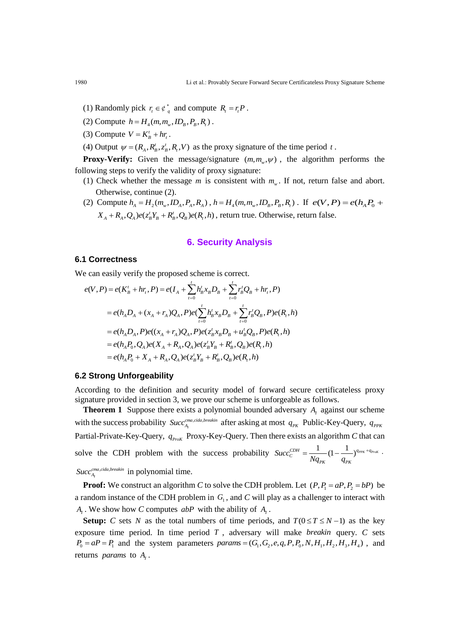- (1) Randomly pick  $r_t \in \phi_q^*$  and compute  $R_t = r_t P$ .
- (2) Compute  $h = H_4(m, m_w, ID_B, P_B, R_i)$ .
- (3) Compute  $V = K_B^t + h r_t^2$ .
- (4) Output  $\psi = (R_A, R_B^t, z_B^t, R_t, V)$  as the proxy signature of the time period t.

**Proxy-Verify:** Given the message/signature  $(m, m_w, \psi)$ , the algorithm performs the following steps to verify the validity of proxy signature:

- (1) Check whether the message *m* is consistent with  $m_w$ . If not, return false and abort. Otherwise, continue (2).
- (2) Compute  $h_A = H_2(m_w, ID_A, P_A, R_A)$ ,  $h = H_4(m, m_w, ID_B, P_B, R_I)$ . If  $e(V, P) = e(h_A P_0 + P_A)$  $X_A + R_A, Q_A$ ) $e(z_B^t Y_B + R_B^t, Q_B) e(R_t, h)$ , return true. Otherwise, return false.

## **6. Security Analysis**

#### **6.1 Correctness**

**6.1 Correctness**  
We can easily verify the proposed scheme is correct.  

$$
e(V, P) = e(K'_B + hr_i, P) = e(I_A + \sum_{t=0}^t h'_B x_B D_B + \sum_{t=0}^t r'_B Q_B + hr_i, P)
$$

$$
= e(h_A D_A + (x_A + r_A)Q_A, P)e(\sum_{t=0}^t h'_B x_B D_B + \sum_{t=0}^t r'_B Q_B, P)e(R_i, h)
$$

$$
= e(h_A D_A, P)e((x_A + r_A)Q_A, P)e(z'_B x_B D_B + u'_B Q_B, P)e(R_i, h)
$$

$$
= e(h_A P_0, Q_A)e(X_A + R_A, Q_A)e(z'_B Y_B + R'_B, Q_B)e(R_i, h)
$$

$$
= e(h_A P_0 + X_A + R_A, Q_A)e(z'_B Y_B + R'_B, Q_B)e(R_i, h)
$$

#### **6.2 Strong Unforgeability**

According to the definition and security model of forward secure certificateless proxy signature provided in section 3, we prove our scheme is unforgeable as follows.

**Theorem 1** Suppose there exists a polynomial bounded adversary  $A_i$  against our scheme with the success probability  $Succ_{A_l}^{c_{ma,cida}}$ *Succ*<sup>*cma,cida,breakin*</sup> after asking at most  $q_{PK}$  Public-Key-Query,  $q_{PPK}$ Partial-Private-Key-Query,  $q_{ProK}$  Proxy-Key-Query. Then there exists an algorithm *C* that can solve the CDH problem with the success probability  $Succ_C^{CDH} = \frac{1}{N} (1 - \frac{1}{N})^{q_{PPK} + q_{Pock}}$ *PK PK Succ*  $Nq_{\scriptscriptstyle PK}$  *q*  $=$   $\frac{1}{(1-\frac{1}{\cdots})^{q_{PPK}+q_{P\text{roK}}}}$ . , , *I*  $Succ_{A_{t}}^{c_{ma,cida,breakin}}$  in polynomial time.

**Proof:** We construct an algorithm *C* to solve the CDH problem. Let  $(P, P_1 = aP, P_2 = bP)$  be a random instance of the CDH problem in  $G<sub>1</sub>$ , and C will play as a challenger to interact with  $A_I$ . We show how *C* computes *abP* with the ability of  $A_I$ .

**Setup:** *C* sets *N* as the total numbers of time periods, and  $T(0 \le T \le N-1)$  as the key exposure time period. In time period *T* , adversary will make *breakin* query. *C* sets exposure time period. In time period *T*, adversary will make *breakin* query. *C* sets  $P_0 = aP = P_1$  and the system parameters *params* =  $(G_1, G_2, e, q, P, P_0, N, H_1, H_2, H_3, H_4)$ , and returns *params* to  $A<sub>l</sub>$ .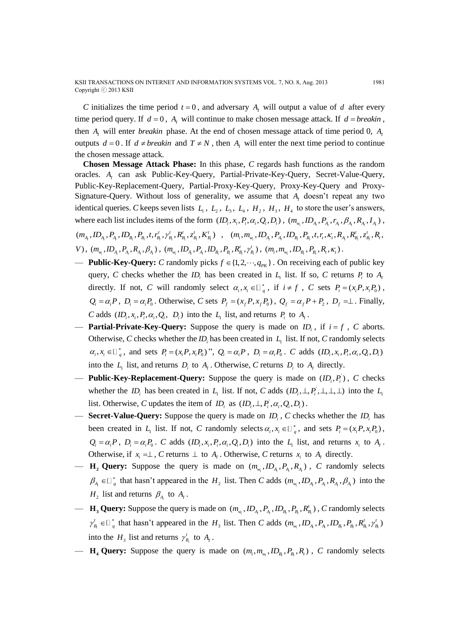*C* initializes the time period  $t = 0$ , and adversary  $A_t$  will output a value of d after every time period query. If  $d = 0$ ,  $A<sub>I</sub>$  will continue to make chosen message attack. If  $d = b$ reakin, then  $A<sub>I</sub>$  will enter *breakin* phase. At the end of chosen message attack of time period 0,  $A<sub>I</sub>$ outputs  $d = 0$ . If  $d \neq$  *breakin* and  $T \neq N$ , then  $A<sub>I</sub>$  will enter the next time period to continue the chosen message attack.

**Chosen Message Attack Phase:** In this phase, *C* regards hash functions as the random oracles. A<sub>*I*</sub> can ask Public-Key-Query, Partial-Private-Key-Query, Secret-Value-Query, Public-Key-Replacement-Query, Partial-Proxy-Key-Query, Proxy-Key-Query and Proxy-Signature-Query. Without loss of generality, we assume that  $A<sub>I</sub>$  doesn't repeat any two identical queries. *C* keeps seven lists  $L_1$ ,  $L_2$ ,  $L_3$ ,  $L_4$ ,  $H_2$ ,  $H_3$ ,  $H_4$  to store the user's answers, where each list includes items of the form  $(ID_i, x_i, P_i, \alpha_i, Q_i, D_i)$ ,  $(m_{w_i}, ID_{A_i}, P_{A_i}, r_{A_i}, \beta_{A_i}, R_{A_i}, I_{A_i})$ ,

 $(m_{_{\!A_i}},\!ID_{_{\!A_i}},\!P_{_{\!A_i}},\!ID_{_{\!B_i}},\!P_{_{\!B_i}},\!t,\!r_{\!B_i}^t,\!{\gamma}_{\!B_i}^t,\!{\cal R}_{\!B_i}^t,\!{\cal Z}_{\!B_i}^t,\!{\cal K}_{\!B_i}^t) \quad , \quad (m_{_{\!I}},\!m_{_{\!W_{\!I}}},\!ID_{_{\!A_i}},\!P_{_{\!A_i}},\!ID_{_{\!B_i}},\!P_{_{\!B_i}},\!t,\!r_{_{\!I}},\!{\cal K}_{_{\!A_i}},\!R_{_{\!B_i}}^t,\!{\$  $V)\,,\ (m_{_{W_{i}}},lD_{_{A_{i}}},P_{_{A_{i}}},R_{_{A_{i}}},\beta_{_{A_{i}}})\,,\ (m_{_{W_{i}}},lD_{_{A_{i}}},P_{_{A_{i}}},lD_{_{B_{i}}},P_{_{B_{i}}},R_{_{B_{i}}^{\prime}}^{\prime},\gamma_{_{B_{i}}^{\prime}}^{\prime})\,,\ (m_{_{i}},m_{_{W_{i}}},lD_{_{B_{i}}},P_{_{B_{i}}},R_{_{i}},\kappa_{_{i}})\,.$ 

- **Public-Key-Query:** *C* randomly picks  $f \in \{1, 2, \dots, q_{\text{PK}}\}$ . On receiving each of public key query, *C* checks whether the  $ID_i$  has been created in  $L_i$  list. If so, *C* returns  $P_i$  to  $A_i$ directly. If not, *C* will randomly select  $\alpha_i, x_i \in \mathbb{D}_q^*$ , if  $i \neq f$ , *C* sets  $P_i = (x_i P, x_i P_0)$ ,  $Q_i = \alpha_i P$ ,  $D_i = \alpha_i P_0$ . Otherwise, *C* sets  $P_f = (x_f P, x_f P_0)$ ,  $Q_f = \alpha_f P + P_2$ ,  $D_f = \perp$ . Finally, *C* adds  $(ID_i, x_i, P_i, \alpha_i, Q_i, D_i)$  into the  $L_1$  list, and returns  $P_i$  to  $A_i$ .
- **Partial-Private-Key-Query:** Suppose the query is made on  $ID_i$ , if  $i = f$ , C aborts. Otherwise, *C* checks whether the  $ID_i$  has been created in  $L_1$  list. If not, *C* randomly selects  $\alpha_i, x_i \in \square_{q}^*$ , and sets  $P_i = (x_i P, x_i P_0)$ ",  $Q_i = \alpha_i P$ ,  $D_i = \alpha_i P_0$ .  $C$  adds  $(ID_i, x_i, P_i, \alpha_i, Q_i, D_i)$ into the  $L_1$  list, and returns  $D_i$  to  $A_i$ . Otherwise, C returns  $D_i$  to  $A_i$  directly.
- **Public-Key-Replacement-Query:** Suppose the query is made on  $(D_i, P_i)$ , C checks whether the  $ID_i$  has been created in  $L_1$  list. If not, *C* adds  $(ID_i, \perp, P_i, \perp, \perp, \perp)$  into the  $L_1$ list. Otherwise, C updates the item of  $ID_i$  as  $(ID_i, \perp, P_i, \alpha_i, Q_i, D_i)$ .
- **Secret-Value-Query:** Suppose the query is made on *ID*<sub>*i*</sub>, *C* checks whether the *ID*<sub>*i*</sub> has been created in  $L_1$  list. If not, C randomly selects  $\alpha_i, x_i \in \mathbb{D}_q^*$ , and sets  $P_i = (x_i P, x_i P_0)$ ,  $Q_i = \alpha_i P$ ,  $D_i = \alpha_i P_0$ . *C* adds  $(ID_i, x_i, P_i, \alpha_i, Q_i, D_i)$  into the  $L_1$  list, and returns  $x_i$  to  $A_1$ . Otherwise, if  $x_i = \perp$ , C returns  $\perp$  to  $A_i$ . Otherwise, C returns  $x_i$  to  $A_i$  directly.
- $-$  **H**<sub>2</sub> Query: Suppose the query is made on  $(m_{w_i}, ID_{A_i}, P_{A_i}, R_{A_i})$ , C randomly selects  $\beta_{A_i} \in \mathbb{Z}_q^*$  that hasn't appeared in the  $H_2$  list. Then *C* adds  $(m_{w_i}, ID_{A_i}, P_{A_i}, R_{A_i}, \beta_{A_i})$  into the  $H_2$  list and returns  $\beta_{A_i}$  to  $A_i$ .
- $-$  **H**<sub>3</sub> Query: Suppose the query is made on  $(m_{w_i}, ID_{A_i}, P_{A_i}, ID_{B_i}, P_{B_i}, R_{B_i}^t)$ , C randomly selects  $\gamma_{B_i}^t \in \Box_q^*$  that hasn't appeared in the  $H_3$  list. Then *C* adds  $(m_{w_i}, ID_{A_i}, P_{A_i}, ID_{B_i}, P_{B_i}, R_{B_i}^t, \gamma_{B_i}^t)$ into the  $H_3$  list and returns  $\gamma^t_{B_1}$  $\gamma^t_{B_i}$  to  $A_i$ .
- $-$  **H<sub>4</sub> Query:** Suppose the query is made on  $(m_i, m_{w_i}, ID_{B_i}, P_{B_i}, R_i)$ , C randomly selects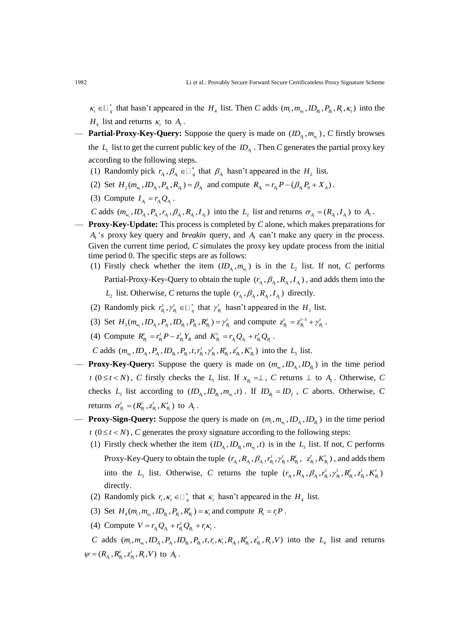$\kappa_i \in \mathbb{Z}_q^*$  that hasn't appeared in the  $H_4$  list. Then *C* adds  $(m_i, m_{w_i}, ID_{B_i}, P_{B_i}, R_i, \kappa_i)$  into the  $H_4$  list and returns  $\kappa_t$  to  $A_1$ .

- **Partial-Proxy-Key-Query:** Suppose the query is made on  $(ID_{A_i}, m_{w_i})$ , C firstly browses the  $L_1$  list to get the current public key of the  $ID_{A_i}$ . Then *C* generates the partial proxy key according to the following steps.
	- (1) Randomly pick  $r_{A_i}, \beta_{A_i} \in \mathbb{D}_q^*$  that  $\beta_{A_i}$  hasn't appeared in the  $H_2$  list.
	- (2) Set  $H_2(m_{w_i}, ID_{A_i}, P_{A_i}, R_{A_i}) = \beta_{A_i}$  and compute  $R_{A_i} = r_{A_i}P (\beta_{A_i}P_0 + X_A)$ .
	- (3) Compute  $I_{A_i} = r_{A_i} Q_{A_i}$ .

*C* adds  $(m_{w_i}, ID_{A_i}, P_{A_i}, r_{A_i}, \beta_{A_i}, R_{A_i}, I_{A_i})$  into the  $L_2$  list and returns  $\sigma_{A_i} = (R_{A_i}, I_{A_i})$  to  $A_1$ .

- **Proxy-Key-Update:** This process is completed by *C* alone, which makes preparations for  $A_i$ 's proxy key query and *breakin* query, and  $A_i$  can't make any query in the process. Given the current time period, *C* simulates the proxy key update process from the initial time period 0. The specific steps are as follows:
	- (1) Firstly check whether the item  $(ID_{A_i}, m_{w_i})$  is in the  $L_2$  list. If not, *C* performs Partial-Proxy-Key-Query to obtain the tuple  $(r_A, \beta_A, R_A, I_A)$ , and adds them into the  $L_2$  list. Otherwise, *C* returns the tuple  $(r_{A_i}, \beta_{A_i}, R_{A_i}, I_{A_i})$  directly.
	- (2) Randomly pick  $r_{B_i}^t$ ,  $\gamma_{B_i}^t$  $r_{B_i}^t$ ,  $\gamma_{B_i}^t \in \square_{q}^*$  that  $\gamma_{B_i}^t$  $\gamma_{B_i}^t$  hasn't appeared in the  $H_3$  list.
	- (3) Set  $H_3(m_{w_i}, ID_{A_i}, P_{A_i}, ID_{B_i}, P_{B_i}, R_{B_i}^t) = \gamma_{B_i}^t$  and compute  $z_{B_i}^t = z_{B_i}^{t-1}$  $\nu_i$   $\nu_j$  $z_{B_i}^t = z_{B_i}^{t-1} + \gamma_{B_i}^t$  .
	- (4) Compute  $R_{B_i}^t = r_{B_i}^t P z_{B_i}^t Y_B$  and  $K_{B_i}^t = r_{A_i} Q_{A_i} + r_{B_i}^t Q_{B_i}$ .

*C* adds  $(m_{w_i}, ID_{A_i}, P_{A_i}, ID_{B_i}, P_{B_i}, t, r_{B_i}^t, \gamma_{B_i}^t, R_{B_i}^t, z_{B_i}^t, K_{B_i}^t)$  into the  $L_3$  list.

- **Proxy-Key-Query:** Suppose the query is made on  $(m_{w_i}, ID_{A_i}, ID_{B_i})$  in the time period *t* ( $0 \le t < N$ ), *C* firstly checks the  $L_1$  list. If  $x_{B_i} = \perp$ , *C* returns  $\perp$  to  $A_i$ . Otherwise, *C* checks  $L_3$  list according to  $(ID_{A_1}, ID_{B_i}, m_{w_i}, t)$ . If  $ID_{B_i} = ID_f$ , *C* aborts. Otherwise, *C* returns  $\sigma_{B_i}^t = (R_{B_i}^t, z_{B_i}^t, K_{B_i}^t)$  to  $A_i$ .
- **Proxy-Sign-Query:** Suppose the query is made on  $(m_i, m_{w_i}, ID_{A_i}, ID_{B_i})$  in the time period  $t (0 \le t < N)$ , *C* generates the proxy signature according to the following steps:
	- (1) Firstly check whether the item  $(ID_{A_i}, ID_{B_i}, m_{w_i}, t)$  is in the  $L_3$  list. If not, *C* performs Proxy-Key-Query to obtain the tuple  $(r_{A_i}, R_{A_i}, \beta_{A_i}, r'_{B_i}, \gamma'_{B_i}, R'_{B_i})$  $r_{_{\!A_i}},R_{_{\!A_i}},\beta_{_{\!A_i}},r^t_{_{\!B_i}},\gamma^t_{_{\!B_i}},R^t_{_{\!B_i}},\ \ z^t_{_{\!B_i}},K^t_{_{\!B_i}})$  $z_{B_i}^t$ ,  $K_{B_i}^t$ ), and adds them into the  $L_3$  list. Otherwise, *C* returns the tuple  $(r_{A_1}, R_{A_1}, \beta_{A_1}, r_{B_1}^t, \gamma_{B_1}^t, R_{B_1}^t, \chi_{B_1}^t, K_{B_1}^t)$  $r_{\scriptscriptstyle{A}}^{}$  ,  $R_{\scriptscriptstyle{A}}^{}$  ,  $\beta_{\scriptscriptstyle{A}}^{}$  ,  $r_{\scriptscriptstyle{B}}^{\scriptscriptstyle{t}}$  ,  $\gamma_{\scriptscriptstyle{B}}^{\scriptscriptstyle{t}}$  ,  $R_{\scriptscriptstyle{B}}^{\scriptscriptstyle{t}}$  ,  $z_{\scriptscriptstyle{B}}^{\scriptscriptstyle{t}}$  ,  $K_{\scriptscriptstyle{B}}^{\scriptscriptstyle{t}}$ directly.
	- (2) Randomly pick  $r_t, \kappa_t \in \mathbb{I}_q^*$  that  $\kappa_t$  hasn't appeared in the  $H_4$  list.
	- (3) Set  $H_4(m_i, m_{w_i}, ID_{B_i}, P_{B_i}, R_{B_i}^t) = \kappa_i$  and compute  $R_i = r_i P$ .
	- (4) Compute  $V = r_{A_i} Q_{A_i} + r_{B_i}^t Q_{B_i} + r_t \kappa_t$ .

*C* adds  $(m_i, m_{w_i}, ID_{A_i}, P_{A_i}, ID_{B_i}, P_{B_i}, t, r_t, K_t, R_{A_i}, R_{B_i}^t, z_{B_i}^t, R_t, V)$  into the  $L_4$  list and returns  $\psi = (R_{A_i}, R_{B_i}^t, z_{B_i}^t, R_t, V)$  to  $A_i$ .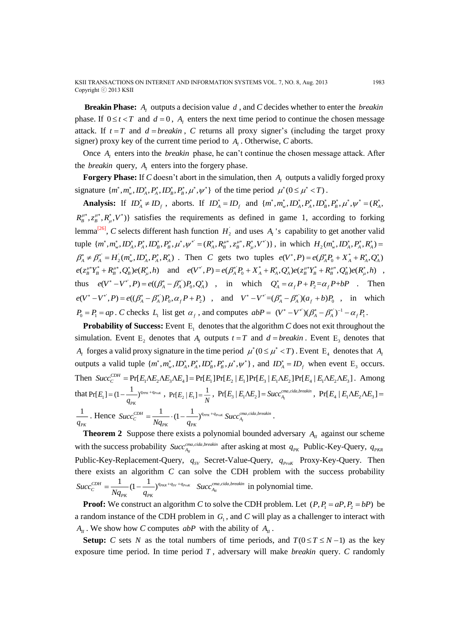**Breakin Phase:** A<sub>*I*</sub> outputs a decision value d, and C decides whether to enter the *breakin* phase. If  $0 \le t < T$  and  $d = 0$ ,  $A_t$  enters the next time period to continue the chosen message attack. If  $t = T$  and  $d = b$ *reakin*, C returns all proxy signer's (including the target proxy signer) proxy key of the current time period to  $A<sub>I</sub>$ . Otherwise, C aborts.

Once  $A<sub>l</sub>$  enters into the *breakin* phase, he can't continue the chosen message attack. After the *breakin* query,  $A<sub>I</sub>$  enters into the forgery phase.

**Forgery Phase:** If C doesn't abort in the simulation, then  $A<sub>i</sub>$  outputs a validly forged proxy signature  $\{m^*, m^*_w, ID^*_A, P^*_A, ID^*_B, P^*_B, \mu^*, \psi^*\}$  of the time period  $\mu^*(0 \le \mu^* < T)$ .

**Analysis:** If  $ID_A^* \neq ID_f$ , aborts. If  $ID_A^* = ID_f$  and  $\{m^*, m_w^*, ID_A^*, P_A^*, ID_B^*, P_B^*, \mu^*, \psi^* = (R_A^*,$  $R_B^{\mu*}, z_B^{\mu*}, R_\mu^*, V^*$ )} satisfies the requirements as defined in game 1, according to forking lemma<sup>[26]</sup>, C selects different hash function  $H_2$  and uses  $A_i$ 's capability to get another valid tuple  $\{m^*, m^*_w, ID^*_A, P^*_A, ID^*_B, P^*_B, \mu^*, \psi^* = (R^*_A, R^{\mu*}_B, z^{\mu*}_B, R^*_\mu, V^*)\}$ , in which  $H_2(m^*_w, ID^*_A, P^*_A, R^*_A) =$  $\beta_A^* \neq \beta_A^{*'} = H_2(m_w^*, \Pi_A^*, P_A^*, R_A^*)$ . Then *C* gets two tuples  $e(V^*, P) = e(\beta_A^* P_0 + X_A^* + R_A^*, Q_A^*)$  $e(z_B^{\mu*}Y_B^* + R_B^{\mu*}, Q_B^*)e(R_{\mu}^*, h)$  and  $e(V^*, P) = e(\beta_A^* P_0 + X_A^* + R_A^*, Q_A^*)e(z_B^{\mu*}Y_B^* + R_B^{\mu*}, Q_B^*)e(R_{\mu}^*, h)$ , thus  $e(V^* - V^*, P) = e((\beta_A^* - \beta_A^*)P_0, Q_A^*)$ , in which  $Q_A^* = \alpha_f P + P_2 = \alpha_f P + bP$ . Then  $e(V^* - V^*, P) = e((\beta_A^* - \beta_A^*)P_0, \alpha_f P + P_2)$ , and  $V^* - V^* = (\beta_A^* - \beta_A^*)(\alpha_f + b)P_0$ , in which  $P_0 = P_1 = ap$ . *C* checks  $L_1$  list get  $\alpha_f$ , and computes  $abP = (V^* - V^*)(\beta_A^* - \beta_A^*)^{-1} - \alpha_f P_1$ .

**Probability of Success:** Event  $E_1$  denotes that the algorithm  $C$  does not exit throughout the simulation. Event  $E_2$  denotes that  $A_i$  outputs  $t = T$  and  $d = b$ *reakin*. Event  $E_3$  denotes that *A<sub>I</sub>* forges a valid proxy signature in the time period  $\mu^*(0 \le \mu^* \lt T)$ . Event E<sub>4</sub> denotes that *A<sub>I</sub>* outputs a valid tuple  $\{m^*, m_w^*, ID_A^*, P_A^*, ID_B^*, P_B^*, \mu^*, \psi^*\}$ , and  $ID_A^* = ID_f$  when event  $E_3$  occurs. Then  $Succ_C^{CDH} = Pr[E_1 \Lambda E_2 \Lambda E_3 \Lambda E_4] = Pr[E_1] Pr[E_2 | E_1] Pr[E_3 | E_1 \Lambda E_2] Pr[E_4 | E_1 \Lambda E_2 \Lambda E_3]$ . Among that  $Pr[E_1]$  $\Pr[E_{_1}] = (1 - \frac{1}{\cdot})^{q_{PPK} + q_{ProK}}$ *PK q*  $=(1-\frac{1}{\sqrt{2}})^{q_{PPK}+q_{ProK}}$  ,  $\Pr[E_{2}\,|\,E_{1}]$  $Pr[E_2 | E_1] = \frac{1}{N}, Pr[E_3 | E_1 \Lambda E_2] = Succ_{A_1}^{c_{max, cida, breakin}}$ ,  $Pr[E_4 | E_1 \Lambda E_2 \Lambda E_3] =$ 1 *PK q*  $\mathcal{L}$ . Hence  $Succ_C^{CDH} = \frac{1}{Nq_{PK}} \cdot (1 - \frac{1}{q_{PK}})^{q_{PPK} + q_{ProK}} Succ_{A_1}^{cma, cida, breakin}$  $Succ_c^{CDH} =$   $(1 )$ <sup> $q_{PPK}$ + $q_{ProK}$ </sup>  $Succ$  $Nq_{\scriptscriptstyle PK}$  *q*  $=\frac{1}{\sqrt{1-\frac{1}{\sqrt{1-\frac{1}{\sqrt{1-\frac{1}{\sqrt{1-\frac{1}{\sqrt{1-\frac{1}{\sqrt{1-\frac{1}{\sqrt{1-\frac{1}{\sqrt{1-\frac{1}{\sqrt{1-\frac{1}{\sqrt{1-\frac{1}{\sqrt{1-\frac{1}{\sqrt{1-\frac{1}{\sqrt{1-\frac{1}{\sqrt{1-\frac{1}{\sqrt{1-\frac{1}{\sqrt{1-\frac{1}{\sqrt{1-\frac{1}{\sqrt{1-\frac{1}{\sqrt{1-\frac{1}{\sqrt{1-\frac{1}{\sqrt{1-\frac{1}{\sqrt{1-\frac{1}{\sqrt{1-\frac{1}{\sqrt{1-\frac{1$ 

**Theorem 2** Suppose there exists a polynomial bounded adversary  $A_{II}$  against our scheme with the success probability  $Succ_{A_{II}}^{c_{I}}$ *Succ*<sup>*cma,cida,breakin*</sup> after asking at most  $q_{\scriptscriptstyle PK}$  Public-Key-Query,  $q_{\scriptscriptstyle PKR}$ Public-Key-Replacement-Query,  $q_{SV}$  Secret-Value-Query,  $q_{ProK}$  Proxy-Key-Query. Then there exists an algorithm *C* can solve the CDH problem with the success probability  $\frac{CDH}{C} = \frac{1}{2L} \left(1 - \frac{1}{2}\right)^{q_{PKR} + q_{SV} + q_{ProK}}$ *PK PK Succ*  $Nq_{\scriptscriptstyle PK}$  q  $=\frac{1}{N_{\text{L}}}(1-\frac{1}{N_{\text{L}}})^{q_{\text{PKR}}+q_{\text{SV}}+q_{\text{ProK}}}$  Succ<sub>A<sub>H</sub></sub>  $Succ_{A_n}^{cma, cida, breakin}$  in polynomial time.

**Proof:** We construct an algorithm *C* to solve the CDH problem. Let  $(P, P_1 = aP, P_2 = bP)$  be a random instance of the CDH problem in  $G<sub>1</sub>$ , and C will play as a challenger to interact with  $A_{II}$ . We show how *C* computes *abP* with the ability of  $A_{II}$ .

**Setup:** *C* sets *N* as the total numbers of time periods, and  $T(0 \le T \le N-1)$  as the key exposure time period. In time period *T* , adversary will make *breakin* query. *C* randomly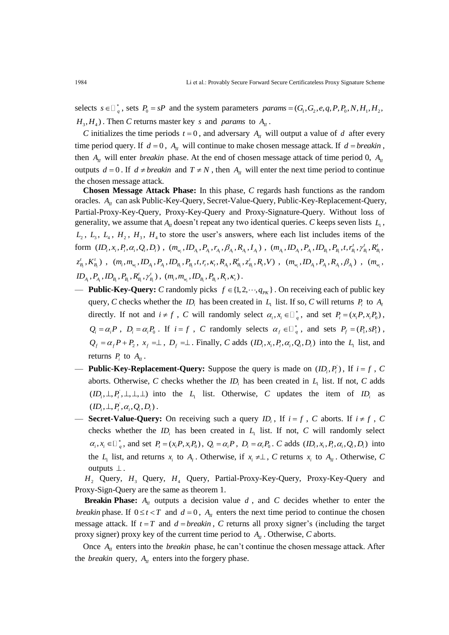selects  $s \in \bigcup_{q}^{*}$ , sets  $P_0 = sP$  and the system parameters *params* =  $(G_1, G_2, e, q, P, P_0, N, H_1, H_2,$  $H_3$ ,  $H_4$ ). Then *C* returns master key *s* and *params* to  $A_{II}$ .

*C* initializes the time periods  $t = 0$ , and adversary  $A_{II}$  will output a value of d after every time period query. If  $d = 0$ ,  $A_{II}$  will continue to make chosen message attack. If  $d = b$ reakin, then  $A_{II}$  will enter *breakin* phase. At the end of chosen message attack of time period 0,  $A_{II}$ outputs  $d = 0$ . If  $d \neq$  *breakin* and  $T \neq N$ , then  $A_{II}$  will enter the next time period to continue the chosen message attack.

**Chosen Message Attack Phase:** In this phase, *C* regards hash functions as the random oracles. A<sub>*II*</sub> can ask Public-Key-Query, Secret-Value-Query, Public-Key-Replacement-Query, Partial-Proxy-Key-Query, Proxy-Key-Query and Proxy-Signature-Query. Without loss of generality, we assume that  $A<sub>II</sub>$  doesn't repeat any two identical queries. *C* keeps seven lists  $L<sub>1</sub>$ ,  $L_2$ ,  $L_3$ ,  $L_4$ ,  $H_2$ ,  $H_3$ ,  $H_4$  to store the user's answers, where each list includes items of the  ${\rm form}\;\;(ID_i,x_i,P_i,\alpha_i,Q_i,D_i)\;,\;(m_{_{W_i}},ID_{_{A_i}},P_{_{A_i}},r_{_{A_i}},\beta_{_{A_i}},R_{_{A_i}},I_{_{A_i}})\;,\;(m_{_{A_i}},ID_{_{A_i}},P_{_{A_i}},ID_{_{B_i}},P_{_{B_i}},t,r^t_{_{B_i}},\gamma^t_{_{B_i}},R^t_{_{B_i}},$  $_{i}$  ,  $K_{_{B_i}}^{\iota}$  ) *t t*  $\begin{split} &\text{form } \left( ID_i, x_i, P_i, \alpha_i, Q_i, D_i \right) \, , \; \left( m_{_{\mathit{W_i}}} ,ID_{_{\mathit{A}}}, P_{_{\mathit{A}}}, P_{_{\mathit{A}}}, P_{_{\mathit{A}}}, P_{_{\mathit{A}}}, I_{_{\mathit{A}}}\right) \, , \; \left( m_{_{\mathit{A}}},ID_{_{\mathit{A}}}, P_{_{\mathit{A}}}, ID_{_{\mathit{B}_i}}, P_{_{\mathit{B}_i}}, t, r_{\mathit{B}_i}^t, \gamma_{\mathit{B}_i}^t, R_{\mathit{B}_i}^t, \right$  $_{i}$  ,  $P_{_{\!A_{\!i}}}$  ,  $ID_{_{\!B_{\!i}}}$  ,  $P_{_{\!B_{\!i}}}$  ,  $R_{_{\!B_{\!i}}}^\iota$  ,  $\gamma_{_{\!B_{\!i}}}^\iota$  )  $ID_{_{A_{i}}}$  ,  $P_{_{A_{i}}}$  ,  $ID_{_{B_{i}}}$  ,  $P_{_{B_{i}}}$  ,  $R_{_{B_{i}}}^{\prime}$  ,  $\gamma_{_{B_{i}}}^{\prime}$  ) ,  $\ (m_{_{i}}$  ,  $m_{_{\mathsf{w}_{i}}}$  ,  $ID_{_{B_{i}}}$  ,  $P_{_{B_{i}}}$  ,  $R_{_{t}}$  ,  $\kappa_{_{t}}$  ) .

- **Public-Key-Query:** *C* randomly picks  $f \in \{1, 2, \dots, q_{\text{PK}}\}\.$  On receiving each of public key query, *C* checks whether the  $ID_i$  has been created in  $L_i$  list. If so, *C* will returns  $P_i$  to  $A_i$ directly. If not and  $i \neq f$ , *C* will randomly select  $\alpha_i, x_i \in \Box_q^*$ , and set  $P_i = (x_i P, x_i P_0)$ ,  $Q_i = \alpha_i P$ ,  $D_i = \alpha_i P_0$ . If  $i = f$ , C randomly selects  $\alpha_f \in \square_q^*$ , and sets  $P_f = (P_1, sP_1)$ ,  $Q_f = \alpha_f P + P_2$ ,  $x_f = \perp$ ,  $D_f = \perp$ . Finally, *C* adds  $(ID_i, x_i, P_i, \alpha_i, Q_i, D_i)$  into the  $L_1$  list, and returns  $P_i$  to  $A_{II}$ .
- **Public-Key-Replacement-Query:** Suppose the query is made on  $(ID_i, P_i)$ , If  $i = f$ , C aborts. Otherwise, C checks whether the  $ID_i$  has been created in  $L_1$  list. If not, C adds  $(ID_i, \perp, P_i, \perp, \perp, \perp)$  into the  $L_1$  list. Otherwise, C updates the item of  $ID_i$  as  $(ID_i, \perp, P_i, \alpha_i, Q_i, D_i)$ .
- **Secret-Value-Query:** On receiving such a query  $ID_i$ , If  $i = f$ , C aborts. If  $i \neq f$ , C checks whether the  $ID_i$  has been created in  $L_1$  list. If not,  $C$  will randomly select  $\alpha_i, x_i \in \mathbb{D}_q^*$ , and set  $P_i = (x_i P, x_i P_0)$ ,  $Q_i = \alpha_i P$ ,  $D_i = \alpha_i P_0$ . C adds  $(D_i, x_i, P_i, \alpha_i, Q_i, D_i)$  into the  $L_1$  list, and returns  $x_i$  to  $A_1$ . Otherwise, if  $x_i \neq \perp$ , C returns  $x_i$  to  $A_n$ . Otherwise, C outputs  $\perp$ .

 $H_2$  Query,  $H_3$  Query,  $H_4$  Query, Partial-Proxy-Key-Query, Proxy-Key-Query and Proxy-Sign-Query are the same as theorem 1.

**Breakin Phase:**  $A_{II}$  outputs a decision value  $d$ , and  $C$  decides whether to enter the *breakin* phase. If  $0 \le t < T$  and  $d = 0$ ,  $A_{II}$  enters the next time period to continue the chosen message attack. If  $t = T$  and  $d = b$ *reakin*, C returns all proxy signer's (including the target proxy signer) proxy key of the current time period to  $A_{II}$ . Otherwise, C aborts.

Once  $A_{II}$  enters into the *breakin* phase, he can't continue the chosen message attack. After the *breakin* query,  $A_{II}$  enters into the forgery phase.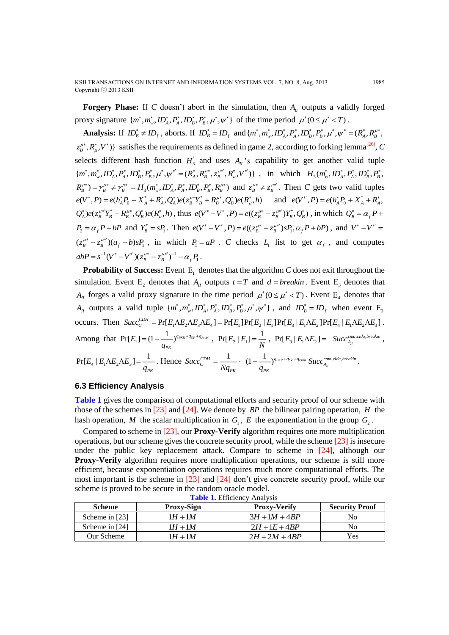**Forgery Phase:** If C doesn't abort in the simulation, then  $A_{II}$  outputs a validly forged proxy signature  $\{m^*, m^*_w, ID^*_A, P^*_A, ID^*_B, P^*_B, \mu^*, \psi^*\}$  of the time period  $\mu^*(0 \le \mu^* < T)$ .

Analysis: If  $ID_B^* \neq ID_f$ , aborts. If  $ID_B^* = ID_f$  and  $\{m^*, m_w^*, ID_A^*, P_A^*, ID_B^*, P_B^*, \mu^*, \psi^* = (R_A^*, R_B^{\mu^*},$  $z_\beta^{\mu*}, R_\mu^*, V^*$ ) satisfies the requirements as defined in game 2, according to forking lemma<sup>[26]</sup>, *C* selects different hash function  $H_3$  and uses  $A_{II}$ 's capability to get another valid tuple  ${m^*, m^*_{w}}$ ,  ${ID_A^*, P_A^*, ID_B^*, P_B^*, \mu^*, \psi^{*'} = (R_A^*, R_B^{\mu*}, z_B^{\mu*'}, R_{\mu}^*, V^{*'})\}$ , in which  $H_3(m^*_{w}, ID_A^*, P_A^*, ID_B^*, P_B^*,$  $R_{B}^{\mu*}$  =  $\gamma_{B}^{\mu*}$  =  $H_{3}(m_{w}^{*},ID_{A}^{*}, P_{A}^{*},ID_{B}^{*}, P_{B}^{*}, R_{B}^{\mu*})$  and  $z_{B}^{\mu*} \neq z_{B}^{\mu*}$ . Then *C* gets two valid tuples  $e(V^*, P) = e(h_A^* P_0 + X_A^* + R_A^*, Q_A^*)e(z_B^{\mu*}Y_B^* + R_B^{\mu*}, Q_B^*)e(R_\mu^*, h)$  and  $e(V^*, P) = e(h_A^* P_0 + X_A^* + R_A^*,$  $Q_{A}^{*}$  $\rho e(z_{B}^{\mu*}Y_{B}^{*} + R_{B}^{\mu*}, Q_{B}^{*})e(R_{\mu}^{*}, h)$ , thus  $e(V^{*}-V^{*}, P) = e((z_{B}^{\mu*}-z_{B}^{\mu*})Y_{B}^{*}, Q_{B}^{*})$ , in which  $Q_{B}^{*} = \alpha_{f}P +$  $P_2 = \alpha_f P + bP$  and  $Y_B^* = sP_1$ . Then  $e(V^* - V^{*}, P) = e((z_B^{\mu*} - z_B^{\mu*})sP_1, \alpha_f P + bP)$ , and  $V^* - V^{*'} =$  $(z_B^{\mu*} - z_B^{\mu*}) (a_f + b) s P_1$ , in which  $P_1 = aP$ . *C* checks  $L_1$  list to get  $\alpha_f$ , and computes  $abP = s^{-1}(V^* - V^*)(z_B^{\mu*} - z_B^{\mu*})^{-1} - \alpha_f P_1.$ 

**Probability of Success:** Event  $E_1$  denotes that the algorithm  $C$  does not exit throughout the simulation. Event  $E_2$  denotes that  $A_{II}$  outputs  $t = T$  and  $d = b$ *reakin*. Event  $E_3$  denotes that  $A_{II}$  forges a valid proxy signature in the time period  $\mu^*(0 \le \mu^* < T)$ . Event E<sub>4</sub> denotes that  $A_{II}$  outputs a valid tuple  $\{m^*, m^*, ID_A^*, P_A^*, ID_B^*, P_B^*, \mu^*, \psi^*\}$ , and  $ID_B^* = ID_f$  when event  $E_3$ occurs. Then  $Succ_C^{CDH} = Pr[E_1 \Lambda E_2 \Lambda E_3 \Lambda E_4] = Pr[E_1] Pr[E_2 | E_1] Pr[E_3 | E_1 \Lambda E_2] Pr[E_4 | E_1 \Lambda E_2 \Lambda E_3]$ . Among that  $Pr[E_1]$  $\Pr[E_{_1}] = (1 - \frac{1}{\cdot \cdot \cdot})^{q_{\textit{PKR}} + q_{\textit{SV}} + q_{\textit{ProK}} }$ *PK E q*  $=(1-\frac{1}{\sqrt{2}})^{q_{PKR}+q_{SV}+q_{ProK}}\,\,,\,\, \Pr[E_{_2}\,|\,E_{_1}]\,.$  $\Pr[E_{_2} | E_{_1}] = \frac{1}{N}, \; \Pr[E_{_3} | E_{_1} \Lambda E_{_2}] = \; \; \mathit{Succ}^{c^{ma,cida,}}_{A_{_H}}$  $Succ_{A_n}^{cma, cida, breakin}$ ,  $4 + 21 + 22 + 32$  $Pr[E_4 | E_1 \Lambda E_2 \Lambda E_3] = \frac{1}{2}$ *PK q*  $\Delta E_2 \Delta E_3$ ] =  $\frac{1}{\Delta E_2}$ . Hence  $Succ_C^{CDH} = \frac{1}{N}$ *PK*  $=\frac{1}{Nq_{\scriptscriptstyle PK}}\cdot~(1-\frac{1}{q_{\scriptscriptstyle PK}})^{q_{\scriptscriptstyle PKR}+q_{\scriptscriptstyle SV}+q_{\scriptscriptstyle ProK}}~Succ_{A_{\scriptscriptstyle H}}^{c_{\scriptscriptstyle TRa,cida,breakin}}$ *PK q*  $\sim$   $\longrightarrow$   $\int^{q_{PKR}+q_{SV}+q_{ProK}}$   $Succ_{A_{rr}}^{c_{ma,cida,breakin}}$ .

# **6.3 Efficiency Analysis**

**Table 1** gives the comparison of computational efforts and security proof of our scheme with those of the schemes in  $[23]$  and  $[24]$ . We denote by *BP* the bilinear pairing operation, *H* the hash operation, M the scalar multiplication in  $G_1$ , E the exponentiation in the group  $G_2$ .

Compared to scheme in [23], our **Proxy-Verify** algorithm requires one more multiplication operations, but our scheme gives the concrete security proof, while the scheme [23] is insecure under the public key replacement attack. Compare to scheme in [24], although our **Proxy-Verify** algorithm requires more multiplication operations, our scheme is still more efficient, because exponentiation operations requires much more computational efforts. The most important is the scheme in [23] and [24] don't give concrete security proof, while our scheme is proved to be secure in the random oracle model.

| --------------------- |                   |                     |                       |
|-----------------------|-------------------|---------------------|-----------------------|
| <b>Scheme</b>         | <b>Proxy-Sign</b> | <b>Proxy-Verify</b> | <b>Security Proof</b> |
| Scheme in [23]        | $1H+1M$           | $3H+1M+4BP$         | No                    |
| Scheme in [24]        | $1H+1M$           | $2H+1E+4BP$         | No                    |
| Our Scheme            | $1H+1M$           | $2H + 2M + 4RP$     | Yes                   |

**Table 1.** Efficiency Analysis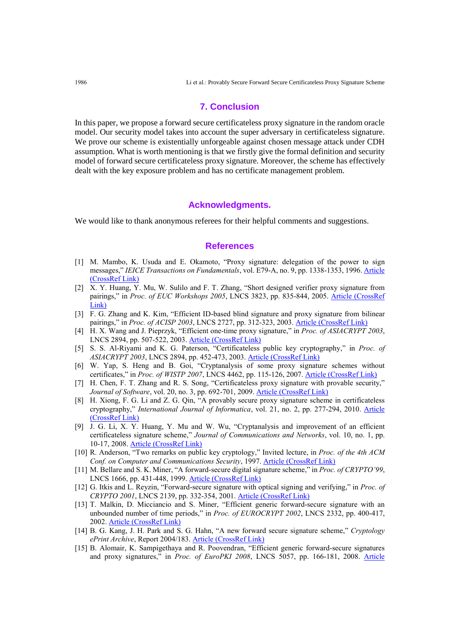### **7. Conclusion**

In this paper, we propose a forward secure certificateless proxy signature in the random oracle model. Our security model takes into account the super adversary in certificateless signature. We prove our scheme is existentially unforgeable against chosen message attack under CDH assumption. What is worth mentioning is that we firstly give the formal definition and security model of forward secure certificateless proxy signature. Moreover, the scheme has effectively dealt with the key exposure problem and has no certificate management problem.

## **Acknowledgments.**

We would like to thank anonymous referees for their helpful comments and suggestions.

## **References**

- [1] M. Mambo, K. Usuda and E. Okamoto, "Proxy signature: delegation of the power to sign messages," *IEICE Transactions on Fundamentals*, vol. E79-A, no. 9, pp. 1338-1353, 1996[. Article](http://search.ieice.org/bin/summary.php?id=e79-a_9_1338)  [\(CrossRef Link\)](http://search.ieice.org/bin/summary.php?id=e79-a_9_1338)
- [2] X. Y. Huang, Y. Mu, W. Sulilo and F. T. Zhang, "Short designed verifier proxy signature from pairings," in *Proc. of EUC Workshops 2005*, LNCS 3823, pp. 835-844, 2005. [Article \(CrossRef](http://link.springer.com/chapter/10.1007/11596042_86)  [Link\)](http://link.springer.com/chapter/10.1007/11596042_86)
- [3] F. G. Zhang and K. Kim, "Efficient ID-based blind signature and proxy signature from bilinear pairings," in *Proc. of ACISP 2003*, LNCS 2727, pp. 312-323, 2003. [Article \(CrossRef Link\)](http://link.springer.com/chapter/10.1007/3-540-45067-X_27)
- [4] H. X. Wang and J. Pieprzyk, "Efficient one-time proxy signature," in *Proc. of ASIACRYPT 2003*, LNCS 2894, pp. 507-522, 2003[. Article \(CrossRef Link\)](http://link.springer.com/chapter/10.1007/978-3-540-40061-5_32)
- [5] S. S. Al-Riyami and K. G. Paterson, "Certificateless public key cryptography," in *Proc. of ASIACRYPT 2003*, LNCS 2894, pp. 452-473, 2003. [Article \(CrossRef Link\)](http://link.springer.com/chapter/10.1007/978-3-540-40061-5_29)
- [6] W. Yap, S. Heng and B. Goi, "Cryptanalysis of some proxy signature schemes without certificates," in *Proc. of WISTP 2007*, LNCS 4462, pp. 115-126, 2007. [Article \(CrossRef Link\)](http://link.springer.com/chapter/10.1007/978-3-540-72354-7_10)
- [7] H. Chen, F. T. Zhang and R. S. Song, "Certificateless proxy signature with provable security," *Journal of Software*, vol. 20, no. 3, pp. 692-701, 2009. [Article \(CrossRef Link\)](http://en.cnki.com.cn/Article_en/CJFDTOTAL-RJXB200903019.htm)
- [8] H. Xiong, F. G. Li and Z. G. Qin, "A provably secure proxy signature scheme in certificateless cryptography," *International Journal of Informatica*, vol. 21, no. 2, pp. 277-294, 2010. [Article](http://iospress.metapress.com/content/837603h8828832q6/)  [\(CrossRef Link\)](http://iospress.metapress.com/content/837603h8828832q6/)
- [9] J. G. Li, X. Y. Huang, Y. Mu and W. Wu, "Cryptanalysis and improvement of an efficient certificateless signature scheme," *Journal of Communications and Networks*, vol. 10, no. 1, pp. 10-17, 2008. [Article \(CrossRef Link\)](http://ieeexplore.ieee.org/xpl/login.jsp?tp=&arnumber=6388323&url=http%3A%2F%2Fieeexplore.ieee.org%2Fxpls%2Fabs_all.jsp%3Farnumber%3D6388323)
- [10] R. Anderson, "Two remarks on public key cryptology," Invited lecture, in *Proc. of the 4th ACM Conf. on Computer and Communications Security*, 1997. Article [\(CrossRef](http://www.cl.cam.ac.uk/users/rja14/) Link)
- [11] M. Bellare and S. K. Miner, "A forward-secure digital signature scheme," in *Proc. of CRYPTO'99*, LNCS 1666, pp. 431-448, 1999. [Article \(CrossRef Link\)](http://link.springer.com/chapter/10.1007/3-540-48405-1_28)
- [12] G. Itkis and L. Reyzin, "Forward-secure signature with optical signing and verifying," in *Proc. of CRYPTO 2001*, LNCS 2139, pp. 332-354, 2001. [Article \(CrossRef Link\)](http://link.springer.com/chapter/10.1007/3-540-44647-8_20)
- [13] T. Malkin, D. Micciancio and S. Miner, "Efficient generic forward-secure signature with an unbounded number of time periods," in *Proc. of EUROCRYPT 2002*, LNCS 2332, pp. 400-417, 2002. [Article \(CrossRef Link\)](http://link.springer.com/chapter/10.1007/3-540-46035-7_27)
- [14] B. G. Kang, J. H. Park and S. G. Hahn, "A new forward secure signature scheme," *Cryptology ePrint Archive*, Report 2004/183. [Article \(CrossRef Link\)](https://eprint.iacr.org/2004/183)
- [15] B. Alomair, K. Sampigethaya and R. Poovendran, "Efficient generic forward-secure signatures and proxy signatures," in *Proc. of EuroPKI 2008*, LNCS 5057, pp. 166-181, 2008. [Article](http://link.springer.com/chapter/10.1007%2F978-3-540-69485-4_12)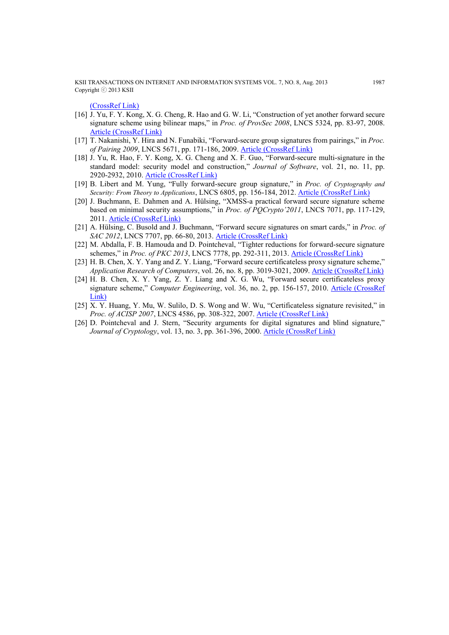KSII TRANSACTIONS ON INTERNET AND INFORMATION SYSTEMS VOL. 7, NO. 8, Aug. 2013 1987 Copyright ⓒ 2013 KSII

[\(CrossRef Link\)](http://link.springer.com/chapter/10.1007%2F978-3-540-69485-4_12)

- [16] J. Yu, F. Y. Kong, X. G. Cheng, R. Hao and G. W. Li, "Construction of yet another forward secure signature scheme using bilinear maps," in *Proc. of ProvSec 2008*, LNCS 5324, pp. 83-97, 2008. [Article \(CrossRef Link\)](http://link.springer.com/chapter/10.1007/978-3-540-88733-1_6)
- [17] T. Nakanishi, Y. Hira and N. Funabiki, "Forward-secure group signatures from pairings," in *Proc. of Pairing 2009*, LNCS 5671, pp. 171-186, 2009. [Article \(CrossRef Link\)](http://link.springer.com/chapter/10.1007/978-3-642-03298-1_12)
- [18] J. Yu, R. Hao, F. Y. Kong, X. G. Cheng and X. F. Guo, "Forward-secure multi-signature in the standard model: security model and construction," *Journal of Software*, vol. 21, no. 11, pp. 2920-2932, 2010. [Article \(CrossRef Link\)](http://www.jos.org.cn/ch/reader/view_abstract.aspx?flag=1&file_no=3834&journal_id=jos)
- [19] B. Libert and M. Yung, "Fully forward-secure group signature," in *Proc. of Cryptography and Security: From Theory to Applications*, LNCS 6805, pp. 156-184, 2012. [Article \(CrossRef Link\)](http://link.springer.com/chapter/10.1007/978-3-642-28368-0_13)
- [20] J. Buchmann, E. Dahmen and A. Hülsing, "XMSS-a practical forward secure signature scheme based on minimal security assumptions," in *Proc. of PQCrypto'2011*, LNCS 7071, pp. 117-129, 2011. [Article \(CrossRef Link\)](http://link.springer.com/chapter/10.1007/978-3-642-25405-5_8)
- [21] A. Hülsing, C. Busold and J. Buchmann, "Forward secure signatures on smart cards," in *Proc. of SAC 2012*, LNCS 7707, pp. 66-80, 2013. [Article \(CrossRef Link\)](http://link.springer.com/chapter/10.1007/978-3-642-35999-6_5)
- [22] M. Abdalla, F. B. Hamouda and D. Pointcheval, "Tighter reductions for forward-secure signature schemes," in *Proc. of PKC 2013*, LNCS 7778, pp. 292-311, 2013. [Article \(CrossRef Link\)](http://link.springer.com/chapter/10.1007/978-3-642-36362-7_19)
- [23] H. B. Chen, X. Y. Yang and Z. Y. Liang, "Forward secure certificateless proxy signature scheme," *Application Research of Computers*, vol. 26, no. 8, pp. 3019-3021, 2009. [Article \(CrossRef Link\)](http://en.cnki.com.cn/Article_en/CJFDTotal-JSYJ200908062.htm)
- [24] H. B. Chen, X. Y. Yang, Z. Y. Liang and X. G. Wu, "Forward secure certificateless proxy signature scheme," *Computer Engineering*, vol. 36, no. 2, pp. 156-157, 2010. [Article \(CrossRef](http://en.cnki.com.cn/Article_en/CJFDTOTAL-JSJC201002056.htm)  [Link\)](http://en.cnki.com.cn/Article_en/CJFDTOTAL-JSJC201002056.htm)
- [25] X. Y. Huang, Y. Mu, W. Sulilo, D. S. Wong and W. Wu, "Certificateless signature revisited," in *Proc. of ACISP 2007*, LNCS 4586, pp. 308-322, 2007. [Article \(CrossRef Link\)](http://link.springer.com/chapter/10.1007/978-3-540-73458-1_23)
- [26] D. Pointcheval and J. Stern, "Security arguments for digital signatures and blind signature," *Journal of Cryptology*, vol. 13, no. 3, pp. 361-396, 2000. [Article \(CrossRef Link\)](http://dx.doi.org/10.1007/s001450010003)